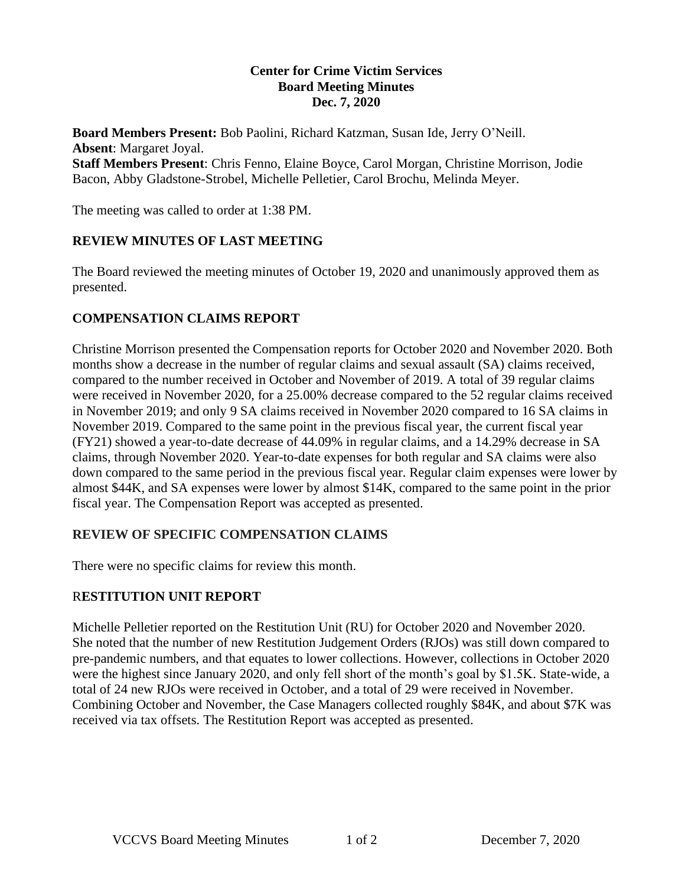#### **Center for Crime Victim Services Board Meeting Minutes Dec. 7, 2020**

**Board Members Present:** Bob Paolini, Richard Katzman, Susan Ide, Jerry O'Neill. **Absent**: Margaret Joyal. **Staff Members Present**: Chris Fenno, Elaine Boyce, Carol Morgan, Christine Morrison, Jodie Bacon, Abby Gladstone-Strobel, Michelle Pelletier, Carol Brochu, Melinda Meyer.

The meeting was called to order at 1:38 PM.

#### **REVIEW MINUTES OF LAST MEETING**

The Board reviewed the meeting minutes of October 19, 2020 and unanimously approved them as presented.

#### **COMPENSATION CLAIMS REPORT**

Christine Morrison presented the Compensation reports for October 2020 and November 2020. Both months show a decrease in the number of regular claims and sexual assault (SA) claims received, compared to the number received in October and November of 2019. A total of 39 regular claims were received in November 2020, for a 25.00% decrease compared to the 52 regular claims received in November 2019; and only 9 SA claims received in November 2020 compared to 16 SA claims in November 2019. Compared to the same point in the previous fiscal year, the current fiscal year (FY21) showed a year-to-date decrease of 44.09% in regular claims, and a 14.29% decrease in SA claims, through November 2020. Year-to-date expenses for both regular and SA claims were also down compared to the same period in the previous fiscal year. Regular claim expenses were lower by almost \$44K, and SA expenses were lower by almost \$14K, compared to the same point in the prior fiscal year. The Compensation Report was accepted as presented.

#### **REVIEW OF SPECIFIC COMPENSATION CLAIMS**

There were no specific claims for review this month.

### R**ESTITUTION UNIT REPORT**

Michelle Pelletier reported on the Restitution Unit (RU) for October 2020 and November 2020. She noted that the number of new Restitution Judgement Orders (RJOs) was still down compared to pre-pandemic numbers, and that equates to lower collections. However, collections in October 2020 were the highest since January 2020, and only fell short of the month's goal by \$1.5K. State-wide, a total of 24 new RJOs were received in October, and a total of 29 were received in November. Combining October and November, the Case Managers collected roughly \$84K, and about \$7K was received via tax offsets. The Restitution Report was accepted as presented.